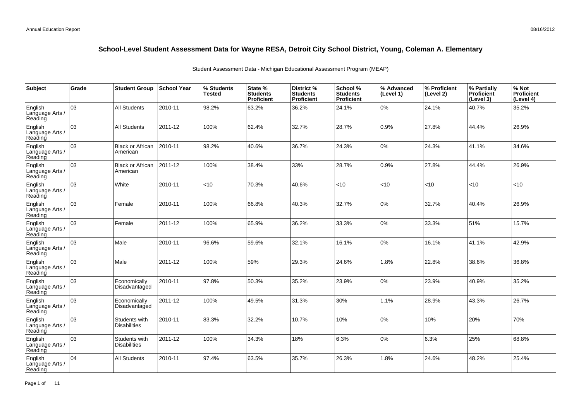| Subject                               | Grade | <b>Student Group</b>                 | School Year | % Students<br><b>Tested</b> | State %<br><b>Students</b><br>Proficient | District %<br><b>Students</b><br><b>Proficient</b> | School %<br><b>Students</b><br><b>Proficient</b> | % Advanced<br>(Level 1) | % Proficient<br>(Level 2) | % Partially<br>Proficient<br>(Level 3) | % Not<br>Proficient<br>(Level 4) |
|---------------------------------------|-------|--------------------------------------|-------------|-----------------------------|------------------------------------------|----------------------------------------------------|--------------------------------------------------|-------------------------|---------------------------|----------------------------------------|----------------------------------|
| English<br>Language Arts /<br>Reading | 03    | <b>All Students</b>                  | 2010-11     | 98.2%                       | 63.2%                                    | 36.2%                                              | 24.1%                                            | 0%                      | 24.1%                     | 40.7%                                  | 35.2%                            |
| English<br>Language Arts /<br>Reading | 03    | <b>All Students</b>                  | 2011-12     | 100%                        | 62.4%                                    | 32.7%                                              | 28.7%                                            | 0.9%                    | 27.8%                     | 44.4%                                  | 26.9%                            |
| English<br>Language Arts /<br>Reading | 03    | <b>Black or African</b><br>American  | 2010-11     | 98.2%                       | 40.6%                                    | 36.7%                                              | 24.3%                                            | 0%                      | 24.3%                     | 41.1%                                  | 34.6%                            |
| English<br>Language Arts /<br>Reading | 03    | <b>Black or African</b><br>American  | 2011-12     | 100%                        | 38.4%                                    | 33%                                                | 28.7%                                            | 0.9%                    | 27.8%                     | 44.4%                                  | 26.9%                            |
| English<br>Language Arts /<br>Reading | 03    | White                                | 2010-11     | <10                         | 70.3%                                    | 40.6%                                              | < 10                                             | <10                     | $10^{-1}$                 | < 10                                   | <10                              |
| English<br>Language Arts /<br>Reading | 03    | Female                               | 2010-11     | 100%                        | 66.8%                                    | 40.3%                                              | 32.7%                                            | 0%                      | 32.7%                     | 40.4%                                  | 26.9%                            |
| English<br>Language Arts /<br>Reading | 03    | Female                               | 2011-12     | 100%                        | 65.9%                                    | 36.2%                                              | 33.3%                                            | 0%                      | 33.3%                     | 51%                                    | 15.7%                            |
| English<br>Language Arts<br>Reading   | 03    | Male                                 | 2010-11     | 96.6%                       | 59.6%                                    | 32.1%                                              | 16.1%                                            | 0%                      | 16.1%                     | 41.1%                                  | 42.9%                            |
| English<br>Language Arts /<br>Reading | 03    | Male                                 | 2011-12     | 100%                        | 59%                                      | 29.3%                                              | 24.6%                                            | 1.8%                    | 22.8%                     | 38.6%                                  | 36.8%                            |
| English<br>Language Arts<br>Reading   | 03    | Economically<br>Disadvantaged        | 2010-11     | 97.8%                       | 50.3%                                    | 35.2%                                              | 23.9%                                            | 0%                      | 23.9%                     | 40.9%                                  | 35.2%                            |
| English<br>Language Arts<br>Reading   | 03    | Economically<br>Disadvantaged        | 2011-12     | 100%                        | 49.5%                                    | 31.3%                                              | 30%                                              | 1.1%                    | 28.9%                     | 43.3%                                  | 26.7%                            |
| English<br>Language Arts<br>Reading   | 03    | Students with<br><b>Disabilities</b> | 2010-11     | 83.3%                       | 32.2%                                    | 10.7%                                              | 10%                                              | 0%                      | 10%                       | 20%                                    | 70%                              |
| English<br>Language Arts<br>Reading   | 03    | Students with<br><b>Disabilities</b> | 2011-12     | 100%                        | 34.3%                                    | 18%                                                | 6.3%                                             | 0%                      | 6.3%                      | 25%                                    | 68.8%                            |
| English<br>Language Arts<br>Reading   | 04    | <b>All Students</b>                  | 2010-11     | 97.4%                       | 63.5%                                    | 35.7%                                              | 26.3%                                            | 1.8%                    | 24.6%                     | 48.2%                                  | 25.4%                            |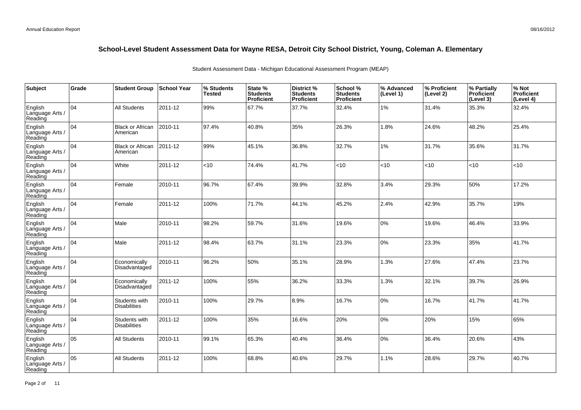| <b>Subject</b>                        | Grade           | <b>Student Group</b>                 | School Year | % Students<br><b>Tested</b> | State %<br><b>Students</b><br>Proficient | District %<br><b>Students</b><br>Proficient | School %<br><b>Students</b><br><b>Proficient</b> | % Advanced<br>(Level 1) | % Proficient<br>(Level 2) | % Partially<br>Proficient<br>(Level 3) | % Not<br>Proficient<br>(Level 4) |
|---------------------------------------|-----------------|--------------------------------------|-------------|-----------------------------|------------------------------------------|---------------------------------------------|--------------------------------------------------|-------------------------|---------------------------|----------------------------------------|----------------------------------|
| English<br>Language Arts /<br>Reading | 04              | <b>All Students</b>                  | 2011-12     | 99%                         | 67.7%                                    | 37.7%                                       | 32.4%                                            | $1\%$                   | 31.4%                     | 35.3%                                  | 32.4%                            |
| English<br>Language Arts /<br>Reading | 04              | <b>Black or African</b><br>American  | 2010-11     | 97.4%                       | 40.8%                                    | 35%                                         | 26.3%                                            | 1.8%                    | 24.6%                     | 48.2%                                  | 25.4%                            |
| English<br>Language Arts /<br>Reading | 04              | <b>Black or African</b><br>American  | 2011-12     | 99%                         | 45.1%                                    | 36.8%                                       | 32.7%                                            | $1\%$                   | 31.7%                     | 35.6%                                  | 31.7%                            |
| English<br>Language Arts /<br>Reading | 04              | White                                | 2011-12     | <10                         | 74.4%                                    | 41.7%                                       | < 10                                             | <10                     | <10                       | < 10                                   | <10                              |
| English<br>Language Arts /<br>Reading | $\overline{04}$ | Female                               | 2010-11     | 96.7%                       | 67.4%                                    | 39.9%                                       | 32.8%                                            | 3.4%                    | 29.3%                     | 50%                                    | 17.2%                            |
| English<br>Language Arts /<br>Reading | 04              | Female                               | 2011-12     | 100%                        | 71.7%                                    | 44.1%                                       | 45.2%                                            | 2.4%                    | 42.9%                     | 35.7%                                  | 19%                              |
| English<br>Language Arts /<br>Reading | 04              | Male                                 | 2010-11     | 98.2%                       | 59.7%                                    | 31.6%                                       | 19.6%                                            | 0%                      | 19.6%                     | 46.4%                                  | 33.9%                            |
| English<br>Language Arts<br>Reading   | 04              | Male                                 | 2011-12     | 98.4%                       | 63.7%                                    | 31.1%                                       | 23.3%                                            | 0%                      | 23.3%                     | 35%                                    | 41.7%                            |
| English<br>Language Arts<br>Reading   | 04              | Economically<br>Disadvantaged        | 2010-11     | 96.2%                       | 50%                                      | 35.1%                                       | 28.9%                                            | 1.3%                    | 27.6%                     | 47.4%                                  | 23.7%                            |
| English<br>Language Arts<br>Reading   | 04              | Economically<br>Disadvantaged        | 2011-12     | 100%                        | 55%                                      | 36.2%                                       | 33.3%                                            | 1.3%                    | 32.1%                     | 39.7%                                  | 26.9%                            |
| English<br>Language Arts<br>Reading   | 04              | Students with<br><b>Disabilities</b> | 2010-11     | 100%                        | 29.7%                                    | 8.9%                                        | 16.7%                                            | 0%                      | 16.7%                     | 41.7%                                  | 41.7%                            |
| English<br>Language Arts<br>Reading   | 04              | Students with<br><b>Disabilities</b> | 2011-12     | 100%                        | 35%                                      | 16.6%                                       | 20%                                              | 0%                      | 20%                       | 15%                                    | 65%                              |
| English<br>Language Arts<br>Reading   | 05              | <b>All Students</b>                  | 2010-11     | 99.1%                       | 65.3%                                    | 40.4%                                       | 36.4%                                            | 0%                      | 36.4%                     | 20.6%                                  | 43%                              |
| English<br>Language Arts<br>Reading   | 05              | <b>All Students</b>                  | 2011-12     | 100%                        | 68.8%                                    | 40.6%                                       | 29.7%                                            | 1.1%                    | 28.6%                     | 29.7%                                  | 40.7%                            |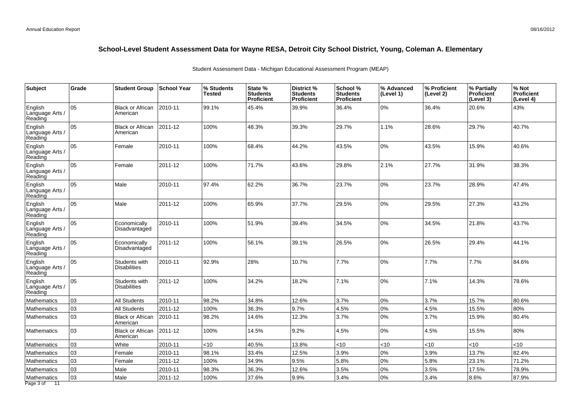| Subject                               | Grade | <b>Student Group</b>                 | School Year | % Students<br><b>Tested</b> | State %<br><b>Students</b><br>Proficient | District %<br><b>Students</b><br>Proficient | School %<br><b>Students</b><br><b>Proficient</b> | % Advanced<br>(Level 1) | % Proficient<br>(Level 2) | % Partially<br>Proficient<br>(Level 3) | % Not<br><b>Proficient</b><br>(Level 4) |
|---------------------------------------|-------|--------------------------------------|-------------|-----------------------------|------------------------------------------|---------------------------------------------|--------------------------------------------------|-------------------------|---------------------------|----------------------------------------|-----------------------------------------|
| English<br>Language Arts<br>Reading   | 05    | <b>Black or African</b><br>American  | 2010-11     | 99.1%                       | 45.4%                                    | 39.9%                                       | 36.4%                                            | 0%                      | 36.4%                     | 20.6%                                  | 43%                                     |
| English<br>Language Arts<br>Reading   | 05    | <b>Black or African</b><br>American  | 2011-12     | 100%                        | 48.3%                                    | 39.3%                                       | 29.7%                                            | 1.1%                    | 28.6%                     | 29.7%                                  | 40.7%                                   |
| English<br>Language Arts /<br>Reading | lo5   | Female                               | 2010-11     | 100%                        | 68.4%                                    | 44.2%                                       | 43.5%                                            | 0%                      | 43.5%                     | 15.9%                                  | 40.6%                                   |
| English<br>Language Arts /<br>Reading | 05    | Female                               | 2011-12     | 100%                        | 71.7%                                    | 43.6%                                       | 29.8%                                            | 2.1%                    | 27.7%                     | 31.9%                                  | 38.3%                                   |
| English<br>Language Arts<br>Reading   | 05    | Male                                 | 2010-11     | 97.4%                       | 62.2%                                    | 36.7%                                       | 23.7%                                            | 0%                      | 23.7%                     | 28.9%                                  | 47.4%                                   |
| English<br>Language Arts /<br>Reading | 05    | Male                                 | 2011-12     | 100%                        | 65.9%                                    | 37.7%                                       | 29.5%                                            | 0%                      | 29.5%                     | 27.3%                                  | 43.2%                                   |
| English<br>Language Arts /<br>Reading | 05    | Economically<br>Disadvantaged        | 2010-11     | 100%                        | 51.9%                                    | 39.4%                                       | 34.5%                                            | 0%                      | 34.5%                     | 21.8%                                  | 43.7%                                   |
| English<br>Language Arts /<br>Reading | 05    | Economically<br>Disadvantaged        | 2011-12     | 100%                        | 56.1%                                    | 39.1%                                       | 26.5%                                            | 0%                      | 26.5%                     | 29.4%                                  | 44.1%                                   |
| English<br>Language Arts<br>Reading   | 05    | Students with<br><b>Disabilities</b> | 2010-11     | 92.9%                       | 28%                                      | 10.7%                                       | 7.7%                                             | 0%                      | 7.7%                      | 7.7%                                   | 84.6%                                   |
| English<br>Language Arts /<br>Reading | 05    | Students with<br><b>Disabilities</b> | 2011-12     | 100%                        | 34.2%                                    | 18.2%                                       | 7.1%                                             | 0%                      | 7.1%                      | 14.3%                                  | 78.6%                                   |
| Mathematics                           | 03    | <b>All Students</b>                  | 2010-11     | 98.2%                       | 34.8%                                    | 12.6%                                       | 3.7%                                             | 0%                      | 3.7%                      | 15.7%                                  | 80.6%                                   |
| Mathematics                           | 03    | <b>All Students</b>                  | 2011-12     | 100%                        | 36.3%                                    | 9.7%                                        | 4.5%                                             | 0%                      | 4.5%                      | 15.5%                                  | 80%                                     |
| Mathematics                           | 03    | <b>Black or African</b><br>American  | 2010-11     | 98.2%                       | 14.6%                                    | 12.3%                                       | 3.7%                                             | 0%                      | 3.7%                      | 15.9%                                  | 80.4%                                   |
| <b>Mathematics</b>                    | 03    | <b>Black or African</b><br>American  | 2011-12     | 100%                        | 14.5%                                    | 9.2%                                        | 4.5%                                             | 0%                      | 4.5%                      | 15.5%                                  | 80%                                     |
| Mathematics                           | 03    | White                                | 2010-11     | <10                         | 40.5%                                    | 13.8%                                       | < 10                                             | <10                     | <10                       | <10                                    | <10                                     |
| <b>Mathematics</b>                    | 03    | Female                               | 2010-11     | 98.1%                       | 33.4%                                    | 12.5%                                       | 3.9%                                             | 0%                      | 3.9%                      | 13.7%                                  | 82.4%                                   |
| Mathematics                           | 03    | Female                               | 2011-12     | 100%                        | 34.9%                                    | 9.5%                                        | 5.8%                                             | 0%                      | 5.8%                      | 23.1%                                  | 71.2%                                   |
| Mathematics                           | 03    | Male                                 | 2010-11     | 98.3%                       | 36.3%                                    | 12.6%                                       | 3.5%                                             | 0%                      | 3.5%                      | 17.5%                                  | 78.9%                                   |
| Mathematics<br>Page 3 of<br>11        | 03    | Male                                 | 2011-12     | 100%                        | 37.6%                                    | 9.9%                                        | 3.4%                                             | 0%                      | 3.4%                      | 8.6%                                   | 87.9%                                   |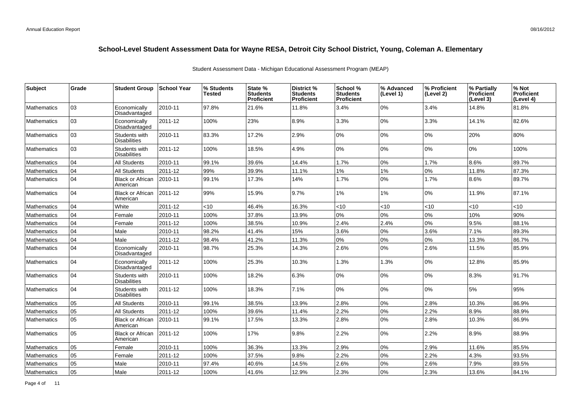| Subject            | Grade | <b>Student Group</b>                 | <b>School Year</b> | % Students<br>Tested | State %<br><b>Students</b><br>Proficient | District %<br><b>Students</b><br><b>Proficient</b> | School %<br><b>Students</b><br><b>Proficient</b> | % Advanced<br>(Level 1) | % Proficient<br>(Level 2) | % Partially<br><b>Proficient</b><br>(Level 3) | % Not<br>Proficient<br>(Level 4) |
|--------------------|-------|--------------------------------------|--------------------|----------------------|------------------------------------------|----------------------------------------------------|--------------------------------------------------|-------------------------|---------------------------|-----------------------------------------------|----------------------------------|
| <b>Mathematics</b> | 03    | Economically<br>Disadvantaged        | 2010-11            | 97.8%                | 21.6%                                    | 11.8%                                              | 3.4%                                             | 0%                      | 3.4%                      | 14.8%                                         | 81.8%                            |
| Mathematics        | 03    | Economically<br>Disadvantaged        | 2011-12            | 100%                 | 23%                                      | 8.9%                                               | 3.3%                                             | 0%                      | 3.3%                      | 14.1%                                         | 82.6%                            |
| <b>Mathematics</b> | 03    | Students with<br><b>Disabilities</b> | 2010-11            | 83.3%                | 17.2%                                    | 2.9%                                               | $0\%$                                            | 0%                      | 0%                        | 20%                                           | 80%                              |
| <b>Mathematics</b> | 03    | Students with<br><b>Disabilities</b> | 2011-12            | 100%                 | 18.5%                                    | 4.9%                                               | 0%                                               | $0\%$                   | 0%                        | 0%                                            | 100%                             |
| <b>Mathematics</b> | 04    | <b>All Students</b>                  | 2010-11            | 99.1%                | 39.6%                                    | 14.4%                                              | 1.7%                                             | 0%                      | 1.7%                      | 8.6%                                          | 89.7%                            |
| <b>Mathematics</b> | 04    | <b>All Students</b>                  | 2011-12            | 99%                  | 39.9%                                    | 11.1%                                              | 1%                                               | $1\%$                   | $0\%$                     | 11.8%                                         | 87.3%                            |
| <b>Mathematics</b> | 04    | <b>Black or African</b><br>American  | 2010-11            | 99.1%                | 17.3%                                    | 14%                                                | 1.7%                                             | 0%                      | 1.7%                      | 8.6%                                          | 89.7%                            |
| Mathematics        | 04    | <b>Black or African</b><br>American  | 2011-12            | 99%                  | 15.9%                                    | 9.7%                                               | $1\%$                                            | 1%                      | 0%                        | 11.9%                                         | 87.1%                            |
| <b>Mathematics</b> | 04    | White                                | 2011-12            | <10                  | 46.4%                                    | 16.3%                                              | <10                                              | < 10                    | < 10                      | < 10                                          | <10                              |
| Mathematics        | 04    | Female                               | 2010-11            | 100%                 | 37.8%                                    | 13.9%                                              | 0%                                               | $0\%$                   | 0%                        | 10%                                           | 90%                              |
| Mathematics        | 04    | Female                               | 2011-12            | 100%                 | 38.5%                                    | 10.9%                                              | 2.4%                                             | 2.4%                    | 0%                        | 9.5%                                          | 88.1%                            |
| Mathematics        | 04    | Male                                 | 2010-11            | 98.2%                | 41.4%                                    | 15%                                                | 3.6%                                             | $0\%$                   | 3.6%                      | 7.1%                                          | 89.3%                            |
| Mathematics        | 04    | Male                                 | 2011-12            | 98.4%                | 41.2%                                    | 11.3%                                              | 0%                                               | $0\%$                   | 0%                        | 13.3%                                         | 86.7%                            |
| <b>Mathematics</b> | 04    | Economically<br>Disadvantaged        | 2010-11            | 98.7%                | 25.3%                                    | 14.3%                                              | 2.6%                                             | 0%                      | 2.6%                      | 11.5%                                         | 85.9%                            |
| <b>Mathematics</b> | 04    | Economically<br>Disadvantaged        | 2011-12            | 100%                 | 25.3%                                    | 10.3%                                              | 1.3%                                             | 1.3%                    | 0%                        | 12.8%                                         | 85.9%                            |
| <b>Mathematics</b> | 04    | Students with<br><b>Disabilities</b> | 2010-11            | 100%                 | 18.2%                                    | 6.3%                                               | 0%                                               | 0%                      | 0%                        | 8.3%                                          | 91.7%                            |
| <b>Mathematics</b> | 04    | Students with<br><b>Disabilities</b> | 2011-12            | 100%                 | 18.3%                                    | 7.1%                                               | 0%                                               | 0%                      | 0%                        | 5%                                            | 95%                              |
| <b>Mathematics</b> | 05    | <b>All Students</b>                  | 2010-11            | 99.1%                | 38.5%                                    | 13.9%                                              | 2.8%                                             | 0%                      | 2.8%                      | 10.3%                                         | 86.9%                            |
| Mathematics        | 05    | <b>All Students</b>                  | 2011-12            | 100%                 | 39.6%                                    | 11.4%                                              | 2.2%                                             | 0%                      | 2.2%                      | 8.9%                                          | 88.9%                            |
| Mathematics        | 05    | <b>Black or African</b><br>American  | 2010-11            | 99.1%                | 17.5%                                    | 13.3%                                              | 2.8%                                             | 0%                      | 2.8%                      | 10.3%                                         | 86.9%                            |
| <b>Mathematics</b> | 05    | <b>Black or African</b><br>American  | 2011-12            | 100%                 | 17%                                      | 9.8%                                               | 2.2%                                             | 0%                      | 2.2%                      | 8.9%                                          | 88.9%                            |
| <b>Mathematics</b> | 05    | Female                               | 2010-11            | 100%                 | 36.3%                                    | 13.3%                                              | 2.9%                                             | 0%                      | 2.9%                      | 11.6%                                         | 85.5%                            |
| <b>Mathematics</b> | 05    | Female                               | 2011-12            | 100%                 | 37.5%                                    | 9.8%                                               | 2.2%                                             | 0%                      | 2.2%                      | 4.3%                                          | 93.5%                            |
| <b>Mathematics</b> | 05    | Male                                 | 2010-11            | 97.4%                | 40.6%                                    | 14.5%                                              | 2.6%                                             | $0\%$                   | 2.6%                      | 7.9%                                          | 89.5%                            |
| Mathematics        | 05    | Male                                 | 2011-12            | 100%                 | 41.6%                                    | 12.9%                                              | 2.3%                                             | $0\%$                   | 2.3%                      | 13.6%                                         | 84.1%                            |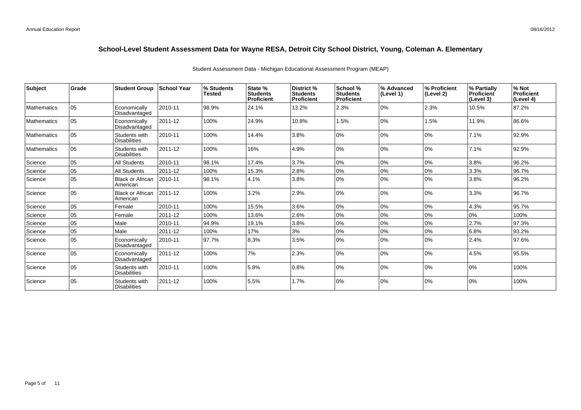| <b>Subject</b>     | Grade | <b>Student Group</b>                 | <b>School Year</b> | % Students<br><b>Tested</b> | State %<br><b>Students</b><br>Proficient | District %<br><b>Students</b><br><b>Proficient</b> | School %<br><b>Students</b><br><b>Proficient</b> | % Advanced<br> (Level 1) | % Proficient<br>(Level 2) | % Partially<br><b>Proficient</b><br>(Level 3) | % Not<br>Proficient<br>(Level 4) |
|--------------------|-------|--------------------------------------|--------------------|-----------------------------|------------------------------------------|----------------------------------------------------|--------------------------------------------------|--------------------------|---------------------------|-----------------------------------------------|----------------------------------|
| <b>Mathematics</b> | 05    | Economically<br>Disadvantaged        | 2010-11            | 98.9%                       | 24.1%                                    | 13.2%                                              | 2.3%                                             | 0%                       | 2.3%                      | 10.5%                                         | 87.2%                            |
| <b>Mathematics</b> | 05    | Economically<br>Disadvantaged        | 2011-12            | 100%                        | 24.9%                                    | 10.8%                                              | 1.5%                                             | 0%                       | 1.5%                      | 11.9%                                         | 86.6%                            |
| <b>Mathematics</b> | 105   | Students with<br><b>Disabilities</b> | 2010-11            | 100%                        | 14.4%                                    | 3.8%                                               | 0%                                               | 0%                       | 0%                        | 7.1%                                          | 92.9%                            |
| <b>Mathematics</b> | 05    | Students with<br><b>Disabilities</b> | 2011-12            | 100%                        | 16%                                      | 4.9%                                               | 0%                                               | 0%                       | 0%                        | 7.1%                                          | 92.9%                            |
| Science            | 05    | <b>All Students</b>                  | 2010-11            | 98.1%                       | 17.4%                                    | 3.7%                                               | 0%                                               | 0%                       | 0%                        | 3.8%                                          | 96.2%                            |
| Science            | 05    | <b>All Students</b>                  | 2011-12            | 100%                        | 15.3%                                    | 2.8%                                               | 0%                                               | 0%                       | 0%                        | 3.3%                                          | 96.7%                            |
| Science            | 05    | <b>Black or African</b><br>American  | 2010-11            | 98.1%                       | 4.1%                                     | 3.8%                                               | 0%                                               | 0%                       | 0%                        | 3.8%                                          | 96.2%                            |
| Science            | 05    | <b>Black or African</b><br>American  | 2011-12            | 100%                        | 3.2%                                     | 2.9%                                               | 0%                                               | 0%                       | 0%                        | 3.3%                                          | 96.7%                            |
| Science            | 05    | Female                               | 2010-11            | 100%                        | 15.5%                                    | 3.6%                                               | 0%                                               | 0%                       | 0%                        | 4.3%                                          | 95.7%                            |
| Science            | 05    | Female                               | 2011-12            | 100%                        | 13.6%                                    | 2.6%                                               | 0%                                               | 0%                       | 0%                        | 0%                                            | 100%                             |
| Science            | 05    | Male                                 | 2010-11            | 94.9%                       | 19.1%                                    | 3.8%                                               | 0%                                               | 0%                       | 0%                        | 2.7%                                          | 97.3%                            |
| Science            | 05    | Male                                 | 2011-12            | 100%                        | 17%                                      | 3%                                                 | 0%                                               | 0%                       | 0%                        | 6.8%                                          | 93.2%                            |
| Science            | 05    | Economically<br>Disadvantaged        | 2010-11            | 97.7%                       | 8.3%                                     | 3.5%                                               | 0%                                               | $ 0\%$                   | 0%                        | 2.4%                                          | 97.6%                            |
| Science            | 05    | Economically<br>Disadvantaged        | 2011-12            | 100%                        | 7%                                       | 2.3%                                               | 0%                                               | 10%                      | 0%                        | 4.5%                                          | 95.5%                            |
| Science            | 05    | Students with<br><b>Disabilities</b> | 2010-11            | 100%                        | 5.8%                                     | 0.8%                                               | 0%                                               | 0%                       | 0%                        | 0%                                            | 100%                             |
| Science            | 05    | Students with<br><b>Disabilities</b> | 2011-12            | 100%                        | 5.5%                                     | 1.7%                                               | 0%                                               | $ 0\%$                   | 0%                        | 0%                                            | 100%                             |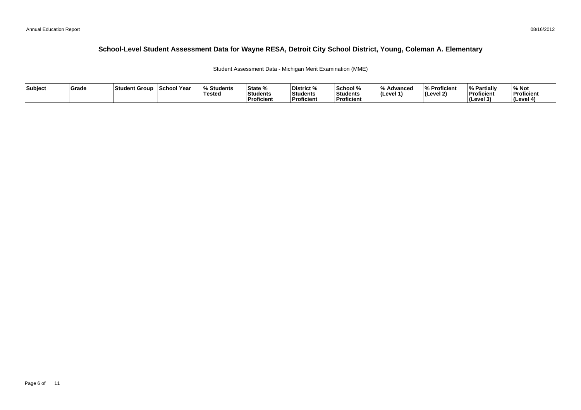Student Assessment Data - Michigan Merit Examination (MME)

| Subject | <b>Grade</b> | ⊺Student Group | School Year | <b>Students</b> l%<br>'Testeo | <b>State %</b><br>Students<br>Proficient | District %<br>Students<br><b>Proficient</b> | School %<br>Students<br>' Proficien. | /۱۵<br>Advanced<br>ILevel 1 | % Proficient<br>(Level 2) | <b>My Partially</b><br>Proficient<br>(Level 3) | % Not<br>Proficient<br>l (Level 4 |
|---------|--------------|----------------|-------------|-------------------------------|------------------------------------------|---------------------------------------------|--------------------------------------|-----------------------------|---------------------------|------------------------------------------------|-----------------------------------|
|---------|--------------|----------------|-------------|-------------------------------|------------------------------------------|---------------------------------------------|--------------------------------------|-----------------------------|---------------------------|------------------------------------------------|-----------------------------------|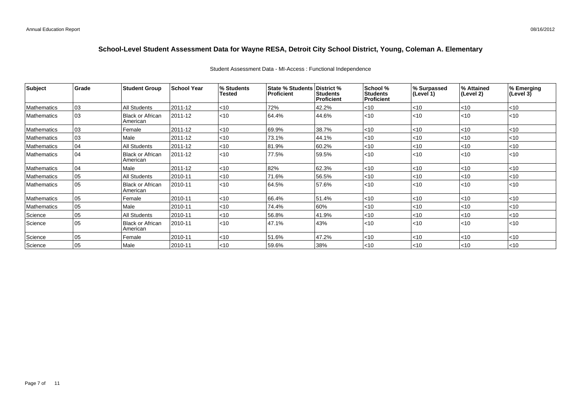| Subject     | Grade        | <b>Student Group</b>                  | <b>School Year</b> | % Students<br>Tested | State % Students<br><b>Proficient</b> | District %<br><b>Students</b><br><b>Proficient</b> | School %<br><b>Students</b><br><b>Proficient</b> | % Surpassed<br>(Level 1) | % Attained<br>(Level 2) | % Emerging<br>(Level 3) |
|-------------|--------------|---------------------------------------|--------------------|----------------------|---------------------------------------|----------------------------------------------------|--------------------------------------------------|--------------------------|-------------------------|-------------------------|
| Mathematics | $ 03\rangle$ | <b>All Students</b>                   | 2011-12            | $<$ 10               | 72%                                   | 42.2%                                              | $<$ 10                                           | $ $ < 10                 | $ $ < 10                | < 10                    |
| Mathematics | 03           | <b>Black or African</b><br>  American | 2011-12            | < 10                 | 64.4%                                 | 44.6%                                              | $<$ 10                                           | $ $ < 10                 | $ $ < 10                | < 10                    |
| Mathematics | $ 03\rangle$ | Female                                | 2011-12            | < 10                 | 69.9%                                 | 38.7%                                              | $<$ 10                                           | $ $ < 10                 | $<$ 10                  | < 10                    |
| Mathematics | 03           | Male                                  | 2011-12            | <10                  | 73.1%                                 | 44.1%                                              | $<$ 10                                           | $<$ 10                   | $<$ 10                  | $<$ 10                  |
| Mathematics | 04           | All Students                          | 2011-12            | < 10                 | 81.9%                                 | 60.2%                                              | $<$ 10                                           | $<$ 10                   | <10                     | $<$ 10                  |
| Mathematics | 04           | <b>Black or African</b><br>American   | 2011-12            | < 10                 | 77.5%                                 | 59.5%                                              | < 10                                             | $<$ 10                   | $ $ < 10                | < 10                    |
| Mathematics | 04           | Male                                  | 2011-12            | < 10                 | 82%                                   | 62.3%                                              | $<$ 10                                           | $<$ 10                   | $<$ 10                  | < 10                    |
| Mathematics | 105          | <b>All Students</b>                   | 2010-11            | < 10                 | 71.6%                                 | 56.5%                                              | $<$ 10                                           | $<$ 10                   | < 10                    | < 10                    |
| Mathematics | 105          | <b>Black or African</b><br>American   | 2010-11            | $<$ 10               | 64.5%                                 | 57.6%                                              | $<$ 10                                           | $ $ < 10                 | $ $ < 10                | $ $ <10                 |
| Mathematics | 05           | Female                                | 2010-11            | < 10                 | 66.4%                                 | 51.4%                                              | $<$ 10                                           | $ $ < 10                 | $<$ 10                  | < 10                    |
| Mathematics | 05           | Male                                  | 2010-11            | < 10                 | 74.4%                                 | 60%                                                | $<$ 10                                           | $<$ 10                   | $<$ 10                  | < 10                    |
| Science     | 05           | All Students                          | 2010-11            | $<$ 10               | 56.8%                                 | 41.9%                                              | $<$ 10                                           | $<$ 10                   | <10                     | $<$ 10                  |
| Science     | 105          | <b>Black or African</b><br>American   | 2010-11            | < 10                 | 47.1%                                 | 43%                                                | $<$ 10                                           | $ $ < 10                 | $ $ < 10                | < 10                    |
| Science     | 05           | Female                                | 2010-11            | <10                  | 51.6%                                 | 47.2%                                              | $<$ 10                                           | $<$ 10                   | $ $ < 10                | $<$ 10                  |
| Science     | 05           | Male                                  | 2010-11            | < 10                 | 59.6%                                 | 38%                                                | $<$ 10                                           | $ $ < 10                 | $ $ < 10                | $<$ 10                  |

#### Student Assessment Data - MI-Access : Functional Independence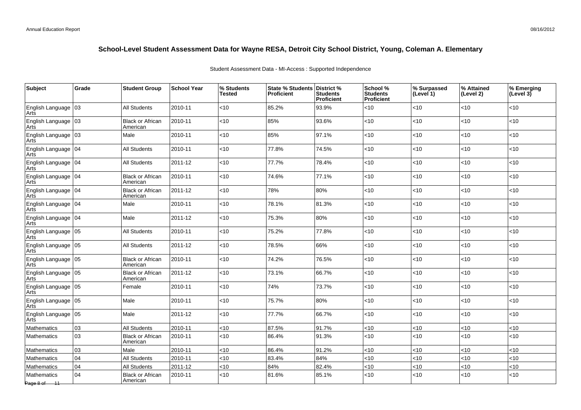| Subject                                     | Grade | <b>Student Group</b>                | <b>School Year</b> | % Students<br><b>Tested</b> | <b>State % Students</b><br><b>Proficient</b> | <b>District</b> %<br><b>Students</b><br>Proficient | School %<br><b>Students</b><br>Proficient | % Surpassed<br>(Level 1) | % Attained<br>(Level 2) | % Emerging<br>(Level $3\bar{)}$ |
|---------------------------------------------|-------|-------------------------------------|--------------------|-----------------------------|----------------------------------------------|----------------------------------------------------|-------------------------------------------|--------------------------|-------------------------|---------------------------------|
| English Language   03<br>Arts               |       | <b>All Students</b>                 | 2010-11            | <10                         | 85.2%                                        | 93.9%                                              | <10                                       | < 10                     | <10                     | $<$ 10                          |
| English Language   03<br>Arts               |       | <b>Black or African</b><br>American | 2010-11            | <10                         | 85%                                          | 93.6%                                              | < 10                                      | < 10                     | <10                     | $<$ 10                          |
| English Language   03<br>Arts               |       | Male                                | 2010-11            | <10                         | 85%                                          | 97.1%                                              | < 10                                      | $<10$                    | <10                     | $<$ 10                          |
| English Language 04<br>Arts                 |       | <b>All Students</b>                 | 2010-11            | < 10                        | 77.8%                                        | 74.5%                                              | < 10                                      | < 10                     | <10                     | $<$ 10                          |
| English Language 04<br>Arts                 |       | <b>All Students</b>                 | 2011-12            | < 10                        | 77.7%                                        | 78.4%                                              | < 10                                      | < 10                     | <10                     | $<$ 10                          |
| English Language   04<br>Arts               |       | <b>Black or African</b><br>American | 2010-11            | < 10                        | 74.6%                                        | 77.1%                                              | <10                                       | <10                      | <10                     | $<$ 10                          |
| English Language   04<br>Arts               |       | <b>Black or African</b><br>American | 2011-12            | < 10                        | 78%                                          | 80%                                                | < 10                                      | < 10                     | $<$ 10                  | $<$ 10                          |
| English Language  04<br>Arts                |       | Male                                | 2010-11            | <10                         | 78.1%                                        | 81.3%                                              | <10                                       | $<10$                    | <10                     | $<$ 10                          |
| English Language 04<br>Arts                 |       | Male                                | 2011-12            | <10                         | 75.3%                                        | 80%                                                | < 10                                      | $<10$                    | <10                     | $<$ 10                          |
| English Language   05<br>Arts               |       | All Students                        | 2010-11            | $<$ 10                      | 75.2%                                        | 77.8%                                              | $<$ 10                                    | < 10                     | $<$ 10                  | $<$ 10                          |
| $\vert$ English Language $\vert$ 05<br>Arts |       | <b>All Students</b>                 | 2011-12            | <10                         | 78.5%                                        | 66%                                                | <10                                       | $<10$                    | <10                     | <10                             |
| English Language 05<br>Arts                 |       | <b>Black or African</b><br>American | 2010-11            | <10                         | 74.2%                                        | 76.5%                                              | < 10                                      | $<10$                    | $<$ 10                  | $<$ 10                          |
| English Language   05<br>Arts               |       | <b>Black or African</b><br>American | 2011-12            | < 10                        | 73.1%                                        | 66.7%                                              | <10                                       | < 10                     | <10                     | $<$ 10                          |
| English Language 05<br> Arts                |       | Female                              | 2010-11            | <10                         | 74%                                          | 73.7%                                              | <10                                       | $<10$                    | <10                     | $<$ 10                          |
| English Language   05<br>Arts               |       | Male                                | 2010-11            | <10                         | 75.7%                                        | 80%                                                | < 10                                      | <10                      | <10                     | $<$ 10                          |
| English Language   05<br>Arts               |       | Male                                | 2011-12            | <10                         | 77.7%                                        | 66.7%                                              | < 10                                      | $<10$                    | <10                     | < 10                            |
| Mathematics                                 | 03    | <b>All Students</b>                 | 2010-11            | <10                         | 87.5%                                        | 91.7%                                              | <10                                       | <10                      | <10                     | $<$ 10                          |
| Mathematics                                 | 03    | <b>Black or African</b><br>American | 2010-11            | <10                         | 86.4%                                        | 91.3%                                              | < 10                                      | $<10$                    | <10                     | < 10                            |
| Mathematics                                 | 03    | Male                                | 2010-11            | < 10                        | 86.4%                                        | 91.2%                                              | < 10                                      | < 10                     | <10                     | <10                             |
| Mathematics                                 | 04    | <b>All Students</b>                 | 2010-11            | < 10                        | 83.4%                                        | 84%                                                | <10                                       | $<10$                    | <10                     | <10                             |
| Mathematics                                 | 04    | <b>All Students</b>                 | 2011-12            | <10                         | 84%                                          | 82.4%                                              | <10                                       | $<10$                    | <10                     | <10                             |
| <b>Mathematics</b><br>Page 8 of 11          | 04    | <b>Black or African</b><br>American | 2010-11            | <10                         | 81.6%                                        | 85.1%                                              | < 10                                      | $<10$                    | <10                     | < 10                            |

Student Assessment Data - MI-Access : Supported Independence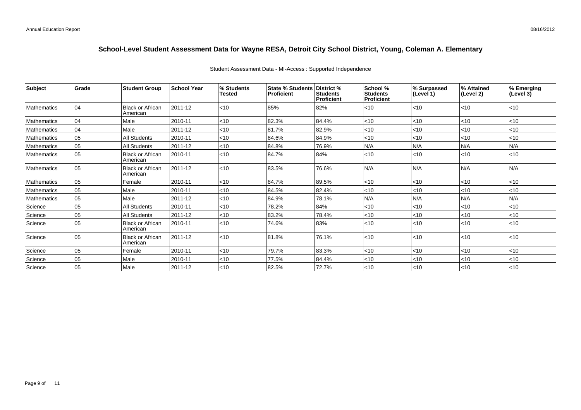| Subject            | Grade | <b>Student Group</b>                | School Year | % Students<br>Tested | State % Students   District %<br><b>Proficient</b> | <b>Students</b><br><b>Proficient</b> | School %<br><b>Students</b><br><b>Proficient</b> | % Surpassed<br>(Level 1) | % Attained<br>(Level 2) | % Emerging<br>$\left(\text{Level } 3\right)$ |
|--------------------|-------|-------------------------------------|-------------|----------------------|----------------------------------------------------|--------------------------------------|--------------------------------------------------|--------------------------|-------------------------|----------------------------------------------|
| <b>Mathematics</b> | 04    | <b>Black or African</b><br>American | 2011-12     | < 10                 | 85%                                                | 82%                                  | < 10                                             | $ $ < 10                 | $ $ < 10                | $<$ 10                                       |
| <b>Mathematics</b> | 04    | Male                                | 2010-11     | $<$ 10               | 82.3%                                              | 84.4%                                | $<$ 10                                           | $<$ 10                   | $<$ 10                  | $<$ 10                                       |
| <b>Mathematics</b> | 04    | Male                                | 2011-12     | < 10                 | 81.7%                                              | 82.9%                                | $<$ 10                                           | $<$ 10                   | < 10                    | < 10                                         |
| <b>Mathematics</b> | 05    | All Students                        | 2010-11     | $<$ 10               | 84.6%                                              | 84.9%                                | $<$ 10                                           | $ $ < 10                 | < 10                    | $<$ 10                                       |
| <b>Mathematics</b> | 05    | <b>All Students</b>                 | 2011-12     | < 10                 | 84.8%                                              | 76.9%                                | IN/A                                             | N/A                      | N/A                     | N/A                                          |
| <b>Mathematics</b> | 05    | Black or African<br>American        | 2010-11     | < 10                 | 84.7%                                              | 84%                                  | < 10                                             | $ $ < 10                 | < 10                    | $ $ < 10                                     |
| <b>Mathematics</b> | 05    | <b>Black or African</b><br>American | 2011-12     | $<$ 10               | 83.5%                                              | 76.6%                                | IN/A                                             | N/A                      | IN/A                    | N/A                                          |
| <b>Mathematics</b> | 05    | Female                              | 2010-11     | < 10                 | 84.7%                                              | 89.5%                                | <10                                              | $<$ 10                   | < 10                    | $<$ 10                                       |
| <b>Mathematics</b> | 05    | Male                                | 2010-11     | <10                  | 84.5%                                              | 82.4%                                | $<$ 10                                           | $<$ 10                   | $<$ 10                  | ~10                                          |
| <b>Mathematics</b> | 05    | Male                                | 2011-12     | < 10                 | 84.9%                                              | 78.1%                                | N/A                                              | N/A                      | N/A                     | N/A                                          |
| Science            | 05    | <b>All Students</b>                 | 2010-11     | < 10                 | 78.2%                                              | 84%                                  | < 10                                             | $<$ 10                   | < 10                    | $ $ < 10                                     |
| Science            | 05    | All Students                        | 2011-12     | < 10                 | 83.2%                                              | 78.4%                                | <10                                              | < 10                     | <10                     | $<$ 10                                       |
| Science            | 05    | <b>Black or African</b><br>American | 2010-11     | < 10                 | 74.6%                                              | 83%                                  | < 10                                             | $ $ < 10                 | < 10                    | < 10                                         |
| Science            | 05    | <b>Black or African</b><br>American | 2011-12     | < 10                 | 81.8%                                              | 76.1%                                | < 10                                             | $ $ < 10                 | $<$ 10                  | $ $ < 10                                     |
| Science            | 05    | Female                              | 2010-11     | <10                  | 79.7%                                              | 83.3%                                | < 10                                             | < 10                     | < 10                    | < 10                                         |
| Science            | 05    | Male                                | 2010-11     | <10                  | 77.5%                                              | 84.4%                                | $<$ 10                                           | < 10                     | < 10                    | $<$ 10                                       |
| Science            | 05    | Male                                | 2011-12     | <10                  | 82.5%                                              | 72.7%                                | < 10                                             | $ $ < 10                 | < 10                    | $ $ < 10                                     |

### Student Assessment Data - MI-Access : Supported Independence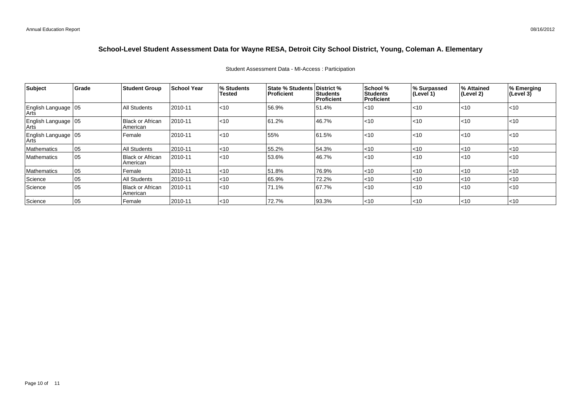| Subject                         | Grade           | <b>Student Group</b>                | <b>School Year</b> | <sup>1</sup> % Students<br><b>Tested</b> | <b>State % Students District %</b><br><b>Proficient</b> | Students<br>  Proficient | School %<br><b>Students</b><br>Proficient | % Surpassed<br> (Level 1) | ∣% Attained<br>(Level 2) | % Emerging<br>(Level 3) |
|---------------------------------|-----------------|-------------------------------------|--------------------|------------------------------------------|---------------------------------------------------------|--------------------------|-------------------------------------------|---------------------------|--------------------------|-------------------------|
| English Language   05<br>Arts   |                 | All Students                        | 2010-11            | < 10                                     | 56.9%                                                   | 51.4%                    | < 10                                      | $\leq 10$                 | $ $ < 10                 | $ $ < 10                |
| English Language   05<br>  Arts |                 | Black or African<br>American        | 2010-11            | < 10                                     | 61.2%                                                   | 46.7%                    | < 10                                      | $\leq 10$                 | $ $ < 10                 | l<10                    |
| English Language 05             |                 | Female                              | 2010-11            | < 10                                     | 55%                                                     | 61.5%                    | < 10                                      | $\leq 10$                 | $ $ < 10                 | l<10                    |
| Mathematics                     | 05              | <b>All Students</b>                 | 2010-11            | $ $ < 10                                 | 55.2%                                                   | 54.3%                    | < 10                                      | $\leq 10$                 | <10                      | l<10                    |
| Mathematics                     | $\overline{05}$ | <b>Black or African</b><br>American | 2010-11            | $ $ < 10                                 | 53.6%                                                   | 46.7%                    | $<$ 10                                    | $\mathsf{I}$ <10          | $ $ < 10                 | $ $ <10                 |
| Mathematics                     | $ 05\rangle$    | Female                              | 2010-11            | $ $ < 10                                 | 51.8%                                                   | 76.9%                    | < 10                                      | $\leq 10$                 | $ $ < 10                 | $ $ <10                 |
| Science                         | 05              | <b>All Students</b>                 | 2010-11            | < 10                                     | 65.9%                                                   | 72.2%                    | < 10                                      | $\leq 10$                 | < 10                     | l<10                    |
| Science                         | 05              | <b>Black or African</b><br>American | 2010-11            | $ $ < 10                                 | 71.1%                                                   | 67.7%                    | < 10                                      | $\mathsf{I}$ <10          | < 10                     | l<10                    |
| Science                         | $ 05\rangle$    | Female                              | 2010-11            | $ $ < 10                                 | 72.7%                                                   | 93.3%                    | $<$ 10                                    | $\mathsf{I}$ <10          | $\mathsf{I}$ <10         | l<10                    |

#### Student Assessment Data - MI-Access : Participation